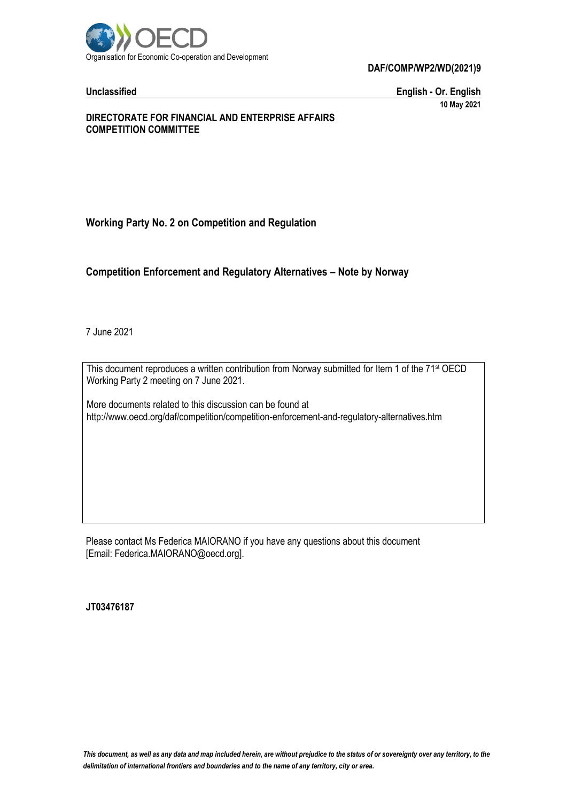

**Unclassified English - Or. English 10 May 2021**

#### **DIRECTORATE FOR FINANCIAL AND ENTERPRISE AFFAIRS COMPETITION COMMITTEE**

# **Working Party No. 2 on Competition and Regulation**

### **Competition Enforcement and Regulatory Alternatives – Note by Norway**

7 June 2021

This document reproduces a written contribution from Norway submitted for Item 1 of the 71<sup>st</sup> OECD Working Party 2 meeting on 7 June 2021.

More documents related to this discussion can be found at http://www.oecd.org/daf/competition/competition-enforcement-and-regulatory-alternatives.htm

Please contact Ms Federica MAIORANO if you have any questions about this document [Email: Federica.MAIORANO@oecd.org].

**JT03476187**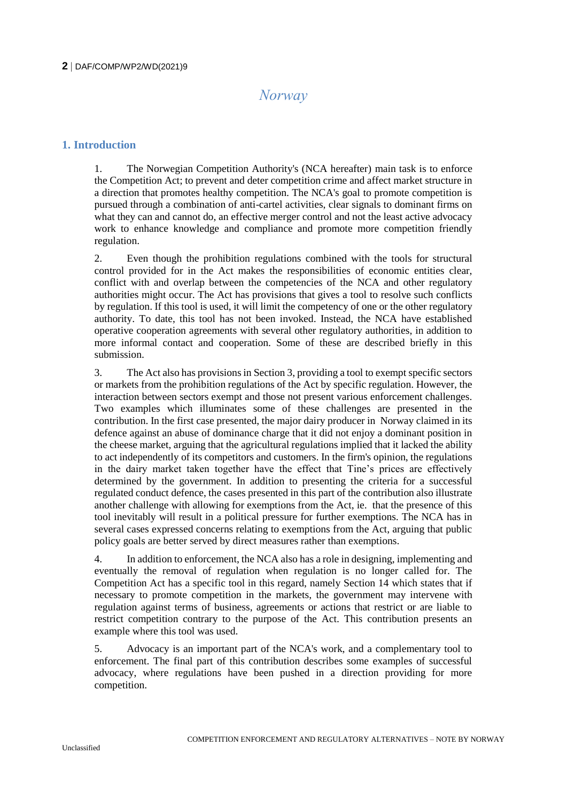# *Norway*

# **1. Introduction**

1. The Norwegian Competition Authority's (NCA hereafter) main task is to enforce the Competition Act; to prevent and deter competition crime and affect market structure in a direction that promotes healthy competition. The NCA's goal to promote competition is pursued through a combination of anti-cartel activities, clear signals to dominant firms on what they can and cannot do, an effective merger control and not the least active advocacy work to enhance knowledge and compliance and promote more competition friendly regulation.

2. Even though the prohibition regulations combined with the tools for structural control provided for in the Act makes the responsibilities of economic entities clear, conflict with and overlap between the competencies of the NCA and other regulatory authorities might occur. The Act has provisions that gives a tool to resolve such conflicts by regulation. If this tool is used, it will limit the competency of one or the other regulatory authority. To date, this tool has not been invoked. Instead, the NCA have established operative cooperation agreements with several other regulatory authorities, in addition to more informal contact and cooperation. Some of these are described briefly in this submission.

3. The Act also has provisions in Section 3, providing a tool to exempt specific sectors or markets from the prohibition regulations of the Act by specific regulation. However, the interaction between sectors exempt and those not present various enforcement challenges. Two examples which illuminates some of these challenges are presented in the contribution. In the first case presented, the major dairy producer in Norway claimed in its defence against an abuse of dominance charge that it did not enjoy a dominant position in the cheese market, arguing that the agricultural regulations implied that it lacked the ability to act independently of its competitors and customers. In the firm's opinion, the regulations in the dairy market taken together have the effect that Tine's prices are effectively determined by the government. In addition to presenting the criteria for a successful regulated conduct defence, the cases presented in this part of the contribution also illustrate another challenge with allowing for exemptions from the Act, ie. that the presence of this tool inevitably will result in a political pressure for further exemptions. The NCA has in several cases expressed concerns relating to exemptions from the Act, arguing that public policy goals are better served by direct measures rather than exemptions.

4. In addition to enforcement, the NCA also has a role in designing, implementing and eventually the removal of regulation when regulation is no longer called for. The Competition Act has a specific tool in this regard, namely Section 14 which states that if necessary to promote competition in the markets, the government may intervene with regulation against terms of business, agreements or actions that restrict or are liable to restrict competition contrary to the purpose of the Act. This contribution presents an example where this tool was used.

5. Advocacy is an important part of the NCA's work, and a complementary tool to enforcement. The final part of this contribution describes some examples of successful advocacy, where regulations have been pushed in a direction providing for more competition.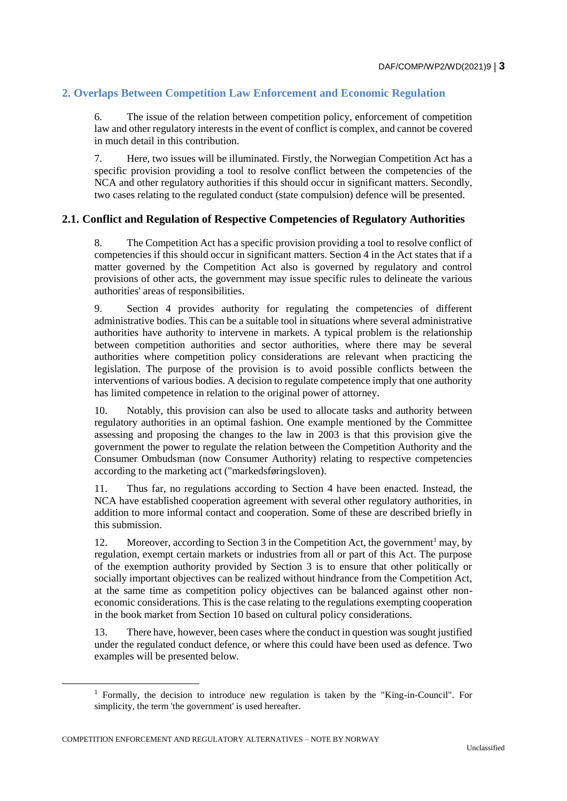# **2. Overlaps Between Competition Law Enforcement and Economic Regulation**

6. The issue of the relation between competition policy, enforcement of competition law and other regulatory interests in the event of conflict is complex, and cannot be covered in much detail in this contribution.

7. Here, two issues will be illuminated. Firstly, the Norwegian Competition Act has a specific provision providing a tool to resolve conflict between the competencies of the NCA and other regulatory authorities if this should occur in significant matters. Secondly, two cases relating to the regulated conduct (state compulsion) defence will be presented.

# **2.1. Conflict and Regulation of Respective Competencies of Regulatory Authorities**

8. The Competition Act has a specific provision providing a tool to resolve conflict of competencies if this should occur in significant matters. Section 4 in the Act states that if a matter governed by the Competition Act also is governed by regulatory and control provisions of other acts, the government may issue specific rules to delineate the various authorities' areas of responsibilities.

9. Section 4 provides authority for regulating the competencies of different administrative bodies. This can be a suitable tool in situations where several administrative authorities have authority to intervene in markets. A typical problem is the relationship between competition authorities and sector authorities, where there may be several authorities where competition policy considerations are relevant when practicing the legislation. The purpose of the provision is to avoid possible conflicts between the interventions of various bodies. A decision to regulate competence imply that one authority has limited competence in relation to the original power of attorney.

10. Notably, this provision can also be used to allocate tasks and authority between regulatory authorities in an optimal fashion. One example mentioned by the Committee assessing and proposing the changes to the law in 2003 is that this provision give the government the power to regulate the relation between the Competition Authority and the Consumer Ombudsman (now Consumer Authority) relating to respective competencies according to the marketing act ("markedsføringsloven).

11. Thus far, no regulations according to Section 4 have been enacted. Instead, the NCA have established cooperation agreement with several other regulatory authorities, in addition to more informal contact and cooperation. Some of these are described briefly in this submission.

12. Moreover, according to Section 3 in the Competition Act, the government<sup>1</sup> may, by regulation, exempt certain markets or industries from all or part of this Act. The purpose of the exemption authority provided by Section 3 is to ensure that other politically or socially important objectives can be realized without hindrance from the Competition Act, at the same time as competition policy objectives can be balanced against other noneconomic considerations. This is the case relating to the regulations exempting cooperation in the book market from Section 10 based on cultural policy considerations.

13. There have, however, been cases where the conduct in question was sought justified under the regulated conduct defence, or where this could have been used as defence. Two examples will be presented below.

COMPETITION ENFORCEMENT AND REGULATORY ALTERNATIVES – NOTE BY NORWAY

<sup>1</sup> Formally, the decision to introduce new regulation is taken by the "King-in-Council". For simplicity, the term 'the government' is used hereafter.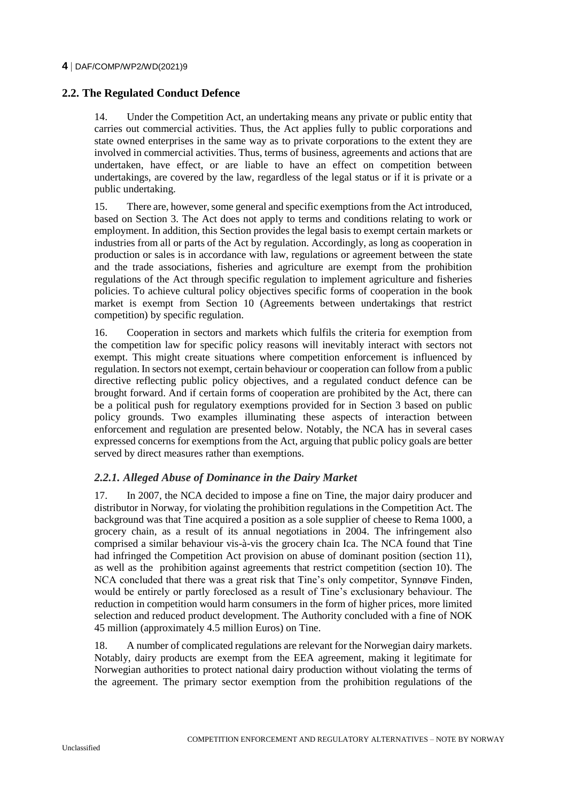# **2.2. The Regulated Conduct Defence**

14. Under the Competition Act, an undertaking means any private or public entity that carries out commercial activities. Thus, the Act applies fully to public corporations and state owned enterprises in the same way as to private corporations to the extent they are involved in commercial activities. Thus, terms of business, agreements and actions that are undertaken, have effect, or are liable to have an effect on competition between undertakings, are covered by the law, regardless of the legal status or if it is private or a public undertaking.

15. There are, however, some general and specific exemptions from the Act introduced, based on Section 3. The Act does not apply to terms and conditions relating to work or employment. In addition, this Section provides the legal basis to exempt certain markets or industries from all or parts of the Act by regulation. Accordingly, as long as cooperation in production or sales is in accordance with law, regulations or agreement between the state and the trade associations, fisheries and agriculture are exempt from the prohibition regulations of the Act through specific regulation to implement agriculture and fisheries policies. To achieve cultural policy objectives specific forms of cooperation in the book market is exempt from Section 10 (Agreements between undertakings that restrict competition) by specific regulation.

16. Cooperation in sectors and markets which fulfils the criteria for exemption from the competition law for specific policy reasons will inevitably interact with sectors not exempt. This might create situations where competition enforcement is influenced by regulation. In sectors not exempt, certain behaviour or cooperation can follow from a public directive reflecting public policy objectives, and a regulated conduct defence can be brought forward. And if certain forms of cooperation are prohibited by the Act, there can be a political push for regulatory exemptions provided for in Section 3 based on public policy grounds. Two examples illuminating these aspects of interaction between enforcement and regulation are presented below. Notably, the NCA has in several cases expressed concerns for exemptions from the Act, arguing that public policy goals are better served by direct measures rather than exemptions.

# *2.2.1. Alleged Abuse of Dominance in the Dairy Market*

17. In 2007, the NCA decided to impose a fine on Tine, the major dairy producer and distributor in Norway, for violating the prohibition regulations in the Competition Act. The background was that Tine acquired a position as a sole supplier of cheese to Rema 1000, a grocery chain, as a result of its annual negotiations in 2004. The infringement also comprised a similar behaviour vis-à-vis the grocery chain Ica. The NCA found that Tine had infringed the Competition Act provision on abuse of dominant position (section 11), as well as the prohibition against agreements that restrict competition (section 10). The NCA concluded that there was a great risk that Tine's only competitor, Synnøve Finden, would be entirely or partly foreclosed as a result of Tine's exclusionary behaviour. The reduction in competition would harm consumers in the form of higher prices, more limited selection and reduced product development. The Authority concluded with a fine of NOK 45 million (approximately 4.5 million Euros) on Tine.

18. A number of complicated regulations are relevant for the Norwegian dairy markets. Notably, dairy products are exempt from the EEA agreement, making it legitimate for Norwegian authorities to protect national dairy production without violating the terms of the agreement. The primary sector exemption from the prohibition regulations of the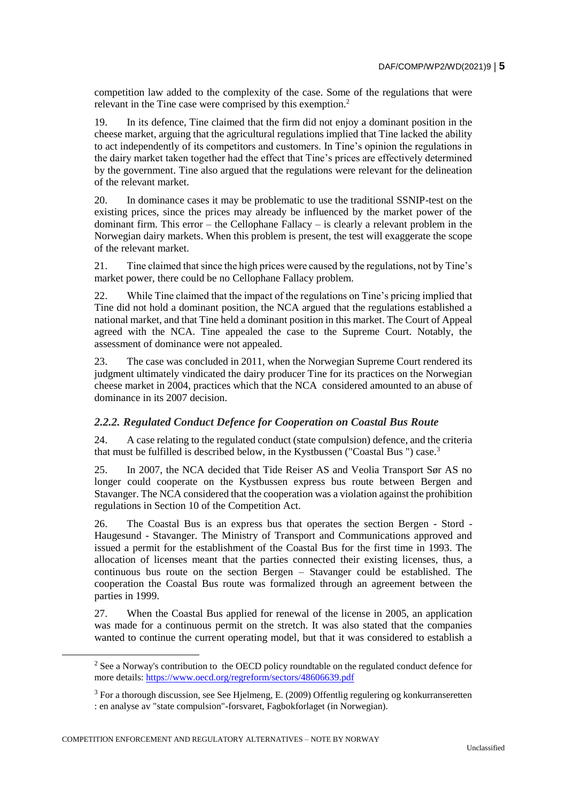competition law added to the complexity of the case. Some of the regulations that were relevant in the Tine case were comprised by this exemption.<sup>2</sup>

19. In its defence, Tine claimed that the firm did not enjoy a dominant position in the cheese market, arguing that the agricultural regulations implied that Tine lacked the ability to act independently of its competitors and customers. In Tine's opinion the regulations in the dairy market taken together had the effect that Tine's prices are effectively determined by the government. Tine also argued that the regulations were relevant for the delineation of the relevant market.

20. In dominance cases it may be problematic to use the traditional SSNIP-test on the existing prices, since the prices may already be influenced by the market power of the dominant firm. This error – the Cellophane Fallacy – is clearly a relevant problem in the Norwegian dairy markets. When this problem is present, the test will exaggerate the scope of the relevant market.

21. Tine claimed that since the high prices were caused by the regulations, not by Tine's market power, there could be no Cellophane Fallacy problem.

22. While Tine claimed that the impact of the regulations on Tine's pricing implied that Tine did not hold a dominant position, the NCA argued that the regulations established a national market, and that Tine held a dominant position in this market. The Court of Appeal agreed with the NCA. Tine appealed the case to the Supreme Court. Notably, the assessment of dominance were not appealed.

23. The case was concluded in 2011, when the Norwegian Supreme Court rendered its judgment ultimately vindicated the dairy producer Tine for its practices on the Norwegian cheese market in 2004, practices which that the NCA considered amounted to an abuse of dominance in its 2007 decision.

### *2.2.2. Regulated Conduct Defence for Cooperation on Coastal Bus Route*

24. A case relating to the regulated conduct (state compulsion) defence, and the criteria that must be fulfilled is described below, in the Kystbussen ("Coastal Bus ") case.<sup>3</sup>

25. In 2007, the NCA decided that Tide Reiser AS and Veolia Transport Sør AS no longer could cooperate on the Kystbussen express bus route between Bergen and Stavanger. The NCA considered that the cooperation was a violation against the prohibition regulations in Section 10 of the Competition Act.

26. The Coastal Bus is an express bus that operates the section Bergen - Stord - Haugesund - Stavanger. The Ministry of Transport and Communications approved and issued a permit for the establishment of the Coastal Bus for the first time in 1993. The allocation of licenses meant that the parties connected their existing licenses, thus, a continuous bus route on the section Bergen – Stavanger could be established. The cooperation the Coastal Bus route was formalized through an agreement between the parties in 1999.

27. When the Coastal Bus applied for renewal of the license in 2005, an application was made for a continuous permit on the stretch. It was also stated that the companies wanted to continue the current operating model, but that it was considered to establish a

COMPETITION ENFORCEMENT AND REGULATORY ALTERNATIVES – NOTE BY NORWAY

 $\overline{a}$ 

<sup>&</sup>lt;sup>2</sup> See a Norway's contribution to the OECD policy roundtable on the regulated conduct defence for more details:<https://www.oecd.org/regreform/sectors/48606639.pdf>

<sup>3</sup> For a thorough discussion, see See Hjelmeng, E. (2009) Offentlig regulering og konkurranseretten : en analyse av "state compulsion"-forsvaret, Fagbokforlaget (in Norwegian).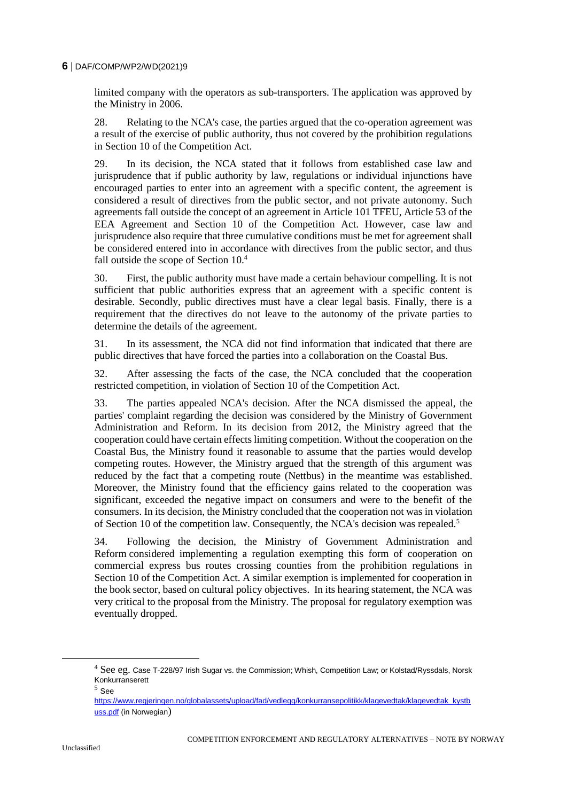limited company with the operators as sub-transporters. The application was approved by the Ministry in 2006.

28. Relating to the NCA's case, the parties argued that the co-operation agreement was a result of the exercise of public authority, thus not covered by the prohibition regulations in Section 10 of the Competition Act.

29. In its decision, the NCA stated that it follows from established case law and jurisprudence that if public authority by law, regulations or individual injunctions have encouraged parties to enter into an agreement with a specific content, the agreement is considered a result of directives from the public sector, and not private autonomy. Such agreements fall outside the concept of an agreement in Article 101 TFEU, Article 53 of the EEA Agreement and Section 10 of the Competition Act. However, case law and jurisprudence also require that three cumulative conditions must be met for agreement shall be considered entered into in accordance with directives from the public sector, and thus fall outside the scope of Section 10.<sup>4</sup>

30. First, the public authority must have made a certain behaviour compelling. It is not sufficient that public authorities express that an agreement with a specific content is desirable. Secondly, public directives must have a clear legal basis. Finally, there is a requirement that the directives do not leave to the autonomy of the private parties to determine the details of the agreement.

31. In its assessment, the NCA did not find information that indicated that there are public directives that have forced the parties into a collaboration on the Coastal Bus.

32. After assessing the facts of the case, the NCA concluded that the cooperation restricted competition, in violation of Section 10 of the Competition Act.

33. The parties appealed NCA's decision. After the NCA dismissed the appeal, the parties' complaint regarding the decision was considered by the Ministry of Government Administration and Reform. In its decision from 2012, the Ministry agreed that the cooperation could have certain effects limiting competition. Without the cooperation on the Coastal Bus, the Ministry found it reasonable to assume that the parties would develop competing routes. However, the Ministry argued that the strength of this argument was reduced by the fact that a competing route (Nettbus) in the meantime was established. Moreover, the Ministry found that the efficiency gains related to the cooperation was significant, exceeded the negative impact on consumers and were to the benefit of the consumers. In its decision, the Ministry concluded that the cooperation not was in violation of Section 10 of the competition law. Consequently, the NCA's decision was repealed.<sup>5</sup>

34. Following the decision, the Ministry of Government Administration and Reform considered implementing a regulation exempting this form of cooperation on commercial express bus routes crossing counties from the prohibition regulations in Section 10 of the Competition Act. A similar exemption is implemented for cooperation in the book sector, based on cultural policy objectives. In its hearing statement, the NCA was very critical to the proposal from the Ministry. The proposal for regulatory exemption was eventually dropped.

<sup>&</sup>lt;sup>4</sup> See eg. Case T-228/97 Irish Sugar vs. the Commission; Whish, Competition Law; or Kolstad/Ryssdals, Norsk Konkurranserett

<sup>5</sup> See

[https://www.regjeringen.no/globalassets/upload/fad/vedlegg/konkurransepolitikk/klagevedtak/klagevedtak\\_kystb](https://www.regjeringen.no/globalassets/upload/fad/vedlegg/konkurransepolitikk/klagevedtak/klagevedtak_kystbuss.pdf) [uss.pdf](https://www.regjeringen.no/globalassets/upload/fad/vedlegg/konkurransepolitikk/klagevedtak/klagevedtak_kystbuss.pdf) (in Norwegian)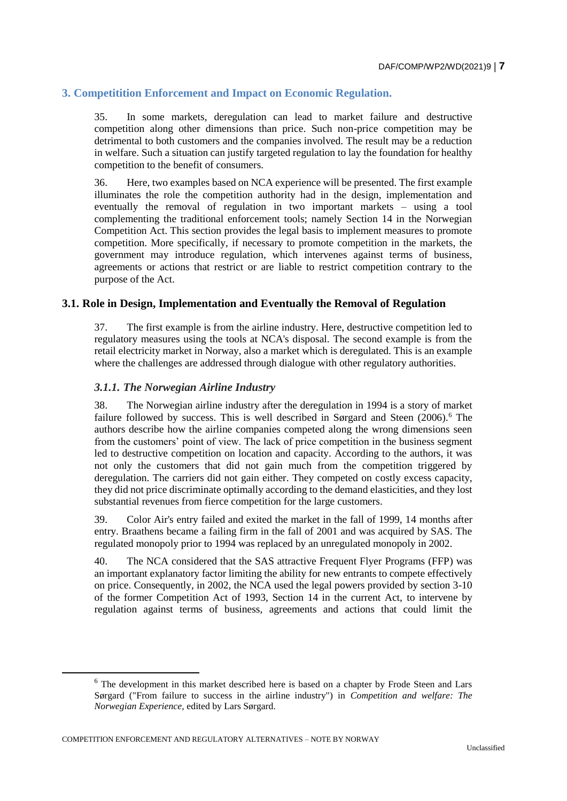# **3. Competitition Enforcement and Impact on Economic Regulation.**

35. In some markets, deregulation can lead to market failure and destructive competition along other dimensions than price. Such non-price competition may be detrimental to both customers and the companies involved. The result may be a reduction in welfare. Such a situation can justify targeted regulation to lay the foundation for healthy competition to the benefit of consumers.

36. Here, two examples based on NCA experience will be presented. The first example illuminates the role the competition authority had in the design, implementation and eventually the removal of regulation in two important markets – using a tool complementing the traditional enforcement tools; namely Section 14 in the Norwegian Competition Act. This section provides the legal basis to implement measures to promote competition. More specifically, if necessary to promote competition in the markets, the government may introduce regulation, which intervenes against terms of business, agreements or actions that restrict or are liable to restrict competition contrary to the purpose of the Act.

### **3.1. Role in Design, Implementation and Eventually the Removal of Regulation**

37. The first example is from the airline industry. Here, destructive competition led to regulatory measures using the tools at NCA's disposal. The second example is from the retail electricity market in Norway, also a market which is deregulated. This is an example where the challenges are addressed through dialogue with other regulatory authorities.

#### *3.1.1. The Norwegian Airline Industry*

38. The Norwegian airline industry after the deregulation in 1994 is a story of market failure followed by success. This is well described in Sørgard and Steen (2006).<sup>6</sup> The authors describe how the airline companies competed along the wrong dimensions seen from the customers' point of view. The lack of price competition in the business segment led to destructive competition on location and capacity. According to the authors, it was not only the customers that did not gain much from the competition triggered by deregulation. The carriers did not gain either. They competed on costly excess capacity, they did not price discriminate optimally according to the demand elasticities, and they lost substantial revenues from fierce competition for the large customers.

39. Color Air's entry failed and exited the market in the fall of 1999, 14 months after entry. Braathens became a failing firm in the fall of 2001 and was acquired by SAS. The regulated monopoly prior to 1994 was replaced by an unregulated monopoly in 2002.

40. The NCA considered that the SAS attractive Frequent Flyer Programs (FFP) was an important explanatory factor limiting the ability for new entrants to compete effectively on price. Consequently, in 2002, the NCA used the legal powers provided by section 3-10 of the former Competition Act of 1993, Section 14 in the current Act, to intervene by regulation against terms of business, agreements and actions that could limit the

 $\overline{a}$ 

<sup>6</sup> The development in this market described here is based on a chapter by Frode Steen and Lars Sørgard ("From failure to success in the airline industry") in *Competition and welfare: The Norwegian Experience*, edited by Lars Sørgard.

COMPETITION ENFORCEMENT AND REGULATORY ALTERNATIVES – NOTE BY NORWAY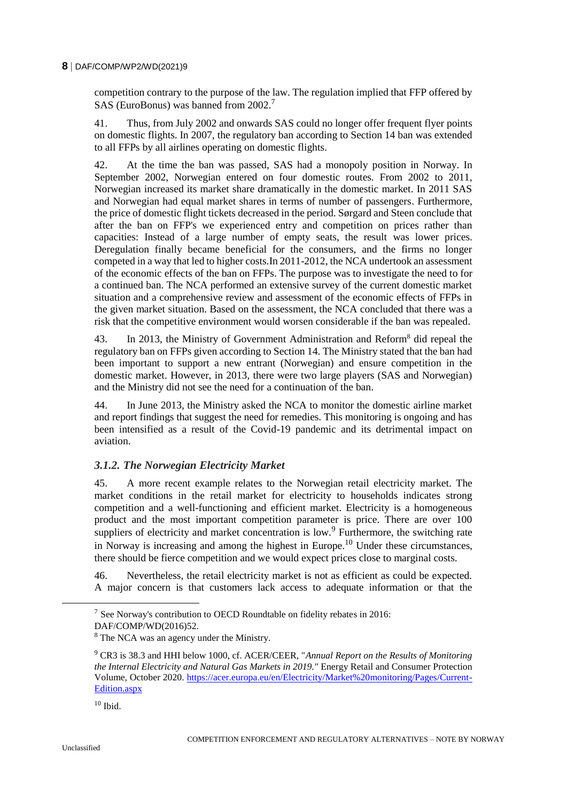competition contrary to the purpose of the law. The regulation implied that FFP offered by SAS (EuroBonus) was banned from 2002.<sup>7</sup>

41. Thus, from July 2002 and onwards SAS could no longer offer frequent flyer points on domestic flights. In 2007, the regulatory ban according to Section 14 ban was extended to all FFPs by all airlines operating on domestic flights.

42. At the time the ban was passed, SAS had a monopoly position in Norway. In September 2002, Norwegian entered on four domestic routes. From 2002 to 2011, Norwegian increased its market share dramatically in the domestic market. In 2011 SAS and Norwegian had equal market shares in terms of number of passengers. Furthermore, the price of domestic flight tickets decreased in the period. Sørgard and Steen conclude that after the ban on FFP's we experienced entry and competition on prices rather than capacities: Instead of a large number of empty seats, the result was lower prices. Deregulation finally became beneficial for the consumers, and the firms no longer competed in a way that led to higher costs.In 2011-2012, the NCA undertook an assessment of the economic effects of the ban on FFPs. The purpose was to investigate the need to for a continued ban. The NCA performed an extensive survey of the current domestic market situation and a comprehensive review and assessment of the economic effects of FFPs in the given market situation. Based on the assessment, the NCA concluded that there was a risk that the competitive environment would worsen considerable if the ban was repealed.

43. In 2013, the Ministry of Government Administration and Reform<sup>8</sup> did repeal the regulatory ban on FFPs given according to Section 14. The Ministry stated that the ban had been important to support a new entrant (Norwegian) and ensure competition in the domestic market. However, in 2013, there were two large players (SAS and Norwegian) and the Ministry did not see the need for a continuation of the ban.

44. In June 2013, the Ministry asked the NCA to monitor the domestic airline market and report findings that suggest the need for remedies. This monitoring is ongoing and has been intensified as a result of the Covid-19 pandemic and its detrimental impact on aviation.

### *3.1.2. The Norwegian Electricity Market*

45. A more recent example relates to the Norwegian retail electricity market. The market conditions in the retail market for electricity to households indicates strong competition and a well-functioning and efficient market. Electricity is a homogeneous product and the most important competition parameter is price. There are over 100 suppliers of electricity and market concentration is low.<sup>9</sup> Furthermore, the switching rate in Norway is increasing and among the highest in Europe.<sup>10</sup> Under these circumstances, there should be fierce competition and we would expect prices close to marginal costs.

46. Nevertheless, the retail electricity market is not as efficient as could be expected. A major concern is that customers lack access to adequate information or that the

 $7$  See Norway's contribution to OECD Roundtable on fidelity rebates in 2016: DAF/COMP/WD(2016)52.

<sup>8</sup> The NCA was an agency under the Ministry.

<sup>9</sup> CR3 is 38.3 and HHI below 1000, cf. ACER/CEER, "*Annual Report on the Results of Monitoring the Internal Electricity and Natural Gas Markets in 2019."* Energy Retail and Consumer Protection Volume, October 2020. [https://acer.europa.eu/en/Electricity/Market%20monitoring/Pages/Current-](https://acer.europa.eu/en/Electricity/Market%20monitoring/Pages/Current-Edition.aspx)[Edition.aspx](https://acer.europa.eu/en/Electricity/Market%20monitoring/Pages/Current-Edition.aspx) 

 $10$  Ibid.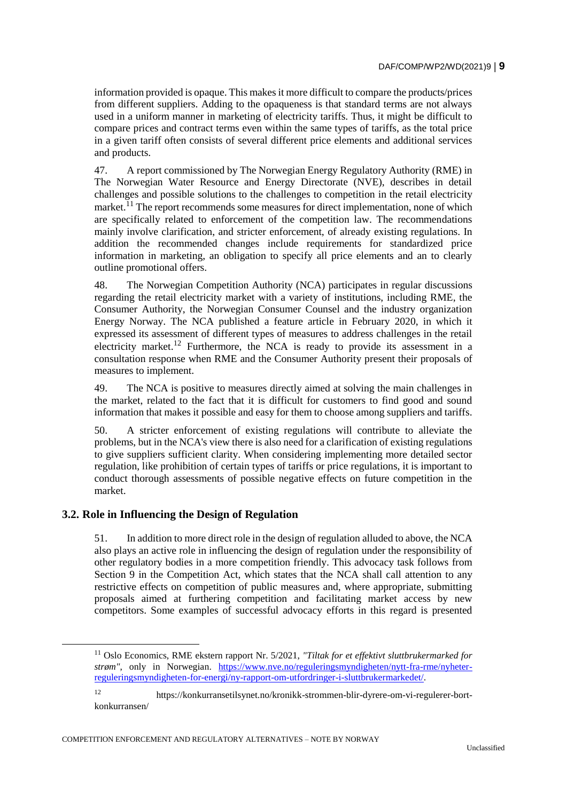information provided is opaque. This makes it more difficult to compare the products/prices from different suppliers. Adding to the opaqueness is that standard terms are not always used in a uniform manner in marketing of electricity tariffs. Thus, it might be difficult to compare prices and contract terms even within the same types of tariffs, as the total price in a given tariff often consists of several different price elements and additional services and products.

47. A report commissioned by The Norwegian Energy Regulatory Authority (RME) in The Norwegian Water Resource and Energy Directorate (NVE), describes in detail challenges and possible solutions to the challenges to competition in the retail electricity market.<sup>11</sup> The report recommends some measures for direct implementation, none of which are specifically related to enforcement of the competition law. The recommendations mainly involve clarification, and stricter enforcement, of already existing regulations. In addition the recommended changes include requirements for standardized price information in marketing, an obligation to specify all price elements and an to clearly outline promotional offers.

48. The Norwegian Competition Authority (NCA) participates in regular discussions regarding the retail electricity market with a variety of institutions, including RME, the Consumer Authority, the Norwegian Consumer Counsel and the industry organization Energy Norway. The NCA published a feature article in February 2020, in which it expressed its assessment of different types of measures to address challenges in the retail electricity market.<sup>12</sup> Furthermore, the NCA is ready to provide its assessment in a consultation response when RME and the Consumer Authority present their proposals of measures to implement.

49. The NCA is positive to measures directly aimed at solving the main challenges in the market, related to the fact that it is difficult for customers to find good and sound information that makes it possible and easy for them to choose among suppliers and tariffs.

50. A stricter enforcement of existing regulations will contribute to alleviate the problems, but in the NCA's view there is also need for a clarification of existing regulations to give suppliers sufficient clarity. When considering implementing more detailed sector regulation, like prohibition of certain types of tariffs or price regulations, it is important to conduct thorough assessments of possible negative effects on future competition in the market.

# **3.2. Role in Influencing the Design of Regulation**

51. In addition to more direct role in the design of regulation alluded to above, the NCA also plays an active role in influencing the design of regulation under the responsibility of other regulatory bodies in a more competition friendly. This advocacy task follows from Section 9 in the Competition Act, which states that the NCA shall call attention to any restrictive effects on competition of public measures and, where appropriate, submitting proposals aimed at furthering competition and facilitating market access by new competitors. Some examples of successful advocacy efforts in this regard is presented

COMPETITION ENFORCEMENT AND REGULATORY ALTERNATIVES – NOTE BY NORWAY

<sup>11</sup> Oslo Economics, RME ekstern rapport Nr. 5/2021, *"Tiltak for et effektivt sluttbrukermarked for strøm"*, only in Norwegian. [https://www.nve.no/reguleringsmyndigheten/nytt-fra-rme/nyheter](https://www.nve.no/reguleringsmyndigheten/nytt-fra-rme/nyheter-reguleringsmyndigheten-for-energi/ny-rapport-om-utfordringer-i-sluttbrukermarkedet/)[reguleringsmyndigheten-for-energi/ny-rapport-om-utfordringer-i-sluttbrukermarkedet/.](https://www.nve.no/reguleringsmyndigheten/nytt-fra-rme/nyheter-reguleringsmyndigheten-for-energi/ny-rapport-om-utfordringer-i-sluttbrukermarkedet/)

<sup>12</sup> https://konkurransetilsynet.no/kronikk-strommen-blir-dyrere-om-vi-regulerer-bortkonkurransen/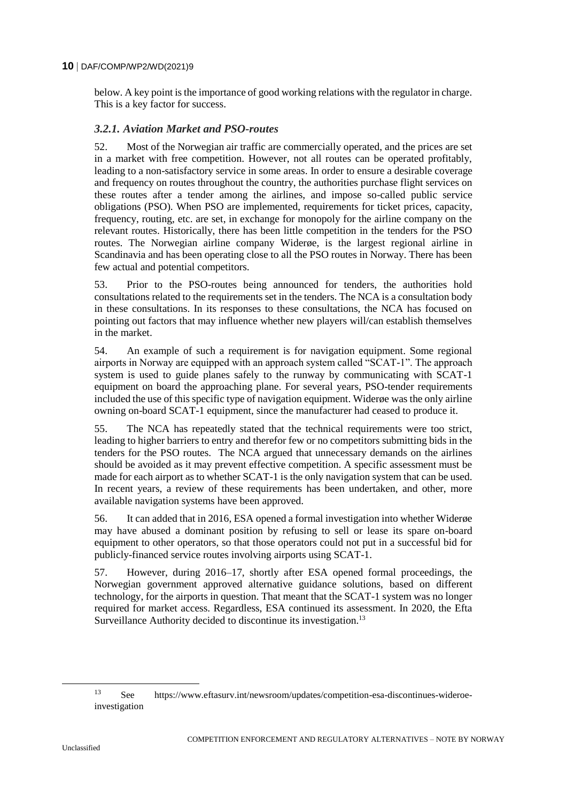below. A key point is the importance of good working relations with the regulator in charge. This is a key factor for success.

# *3.2.1. Aviation Market and PSO-routes*

52. Most of the Norwegian air traffic are commercially operated, and the prices are set in a market with free competition. However, not all routes can be operated profitably, leading to a non-satisfactory service in some areas. In order to ensure a desirable coverage and frequency on routes throughout the country, the authorities purchase flight services on these routes after a tender among the airlines, and impose so-called public service obligations (PSO). When PSO are implemented, requirements for ticket prices, capacity, frequency, routing, etc. are set, in exchange for monopoly for the airline company on the relevant routes. Historically, there has been little competition in the tenders for the PSO routes. The Norwegian airline company Widerøe, is the largest regional airline in Scandinavia and has been operating close to all the PSO routes in Norway. There has been few actual and potential competitors.

53. Prior to the PSO-routes being announced for tenders, the authorities hold consultations related to the requirements set in the tenders. The NCA is a consultation body in these consultations. In its responses to these consultations, the NCA has focused on pointing out factors that may influence whether new players will/can establish themselves in the market.

54. An example of such a requirement is for navigation equipment. Some regional airports in Norway are equipped with an approach system called "SCAT-1". The approach system is used to guide planes safely to the runway by communicating with SCAT-1 equipment on board the approaching plane. For several years, PSO-tender requirements included the use of this specific type of navigation equipment. Widerøe was the only airline owning on-board SCAT-1 equipment, since the manufacturer had ceased to produce it.

55. The NCA has repeatedly stated that the technical requirements were too strict, leading to higher barriers to entry and therefor few or no competitors submitting bids in the tenders for the PSO routes. The NCA argued that unnecessary demands on the airlines should be avoided as it may prevent effective competition. A specific assessment must be made for each airport as to whether SCAT-1 is the only navigation system that can be used. In recent years, a review of these requirements has been undertaken, and other, more available navigation systems have been approved.

56. It can added that in 2016, ESA opened a formal investigation into whether Widerøe may have abused a dominant position by refusing to sell or lease its spare on-board equipment to other operators, so that those operators could not put in a successful bid for publicly-financed service routes involving airports using SCAT-1.

57. However, during 2016–17, shortly after ESA opened formal proceedings, the Norwegian government approved alternative guidance solutions, based on different technology, for the airports in question. That meant that the SCAT-1 system was no longer required for market access. Regardless, ESA continued its assessment. In 2020, the Efta Surveillance Authority decided to discontinue its investigation.<sup>13</sup>

<sup>13</sup> See https://www.eftasurv.int/newsroom/updates/competition-esa-discontinues-wideroeinvestigation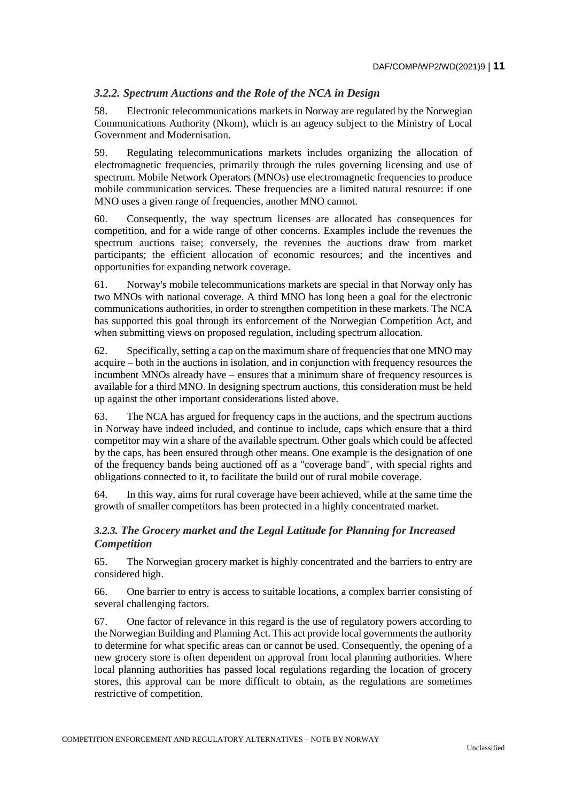# *3.2.2. Spectrum Auctions and the Role of the NCA in Design*

58. Electronic telecommunications markets in Norway are regulated by the Norwegian Communications Authority (Nkom), which is an agency subject to the Ministry of Local Government and Modernisation.

59. Regulating telecommunications markets includes organizing the allocation of electromagnetic frequencies, primarily through the rules governing licensing and use of spectrum. Mobile Network Operators (MNOs) use electromagnetic frequencies to produce mobile communication services. These frequencies are a limited natural resource: if one MNO uses a given range of frequencies, another MNO cannot.

60. Consequently, the way spectrum licenses are allocated has consequences for competition, and for a wide range of other concerns. Examples include the revenues the spectrum auctions raise; conversely, the revenues the auctions draw from market participants; the efficient allocation of economic resources; and the incentives and opportunities for expanding network coverage.

61. Norway's mobile telecommunications markets are special in that Norway only has two MNOs with national coverage. A third MNO has long been a goal for the electronic communications authorities, in order to strengthen competition in these markets. The NCA has supported this goal through its enforcement of the Norwegian Competition Act, and when submitting views on proposed regulation, including spectrum allocation.

62. Specifically, setting a cap on the maximum share of frequencies that one MNO may acquire – both in the auctions in isolation, and in conjunction with frequency resources the incumbent MNOs already have – ensures that a minimum share of frequency resources is available for a third MNO. In designing spectrum auctions, this consideration must be held up against the other important considerations listed above.

63. The NCA has argued for frequency caps in the auctions, and the spectrum auctions in Norway have indeed included, and continue to include, caps which ensure that a third competitor may win a share of the available spectrum. Other goals which could be affected by the caps, has been ensured through other means. One example is the designation of one of the frequency bands being auctioned off as a "coverage band", with special rights and obligations connected to it, to facilitate the build out of rural mobile coverage.

64. In this way, aims for rural coverage have been achieved, while at the same time the growth of smaller competitors has been protected in a highly concentrated market.

# *3.2.3. The Grocery market and the Legal Latitude for Planning for Increased Competition*

65. The Norwegian grocery market is highly concentrated and the barriers to entry are considered high.

66. One barrier to entry is access to suitable locations, a complex barrier consisting of several challenging factors.

67. One factor of relevance in this regard is the use of regulatory powers according to the Norwegian Building and Planning Act. This act provide local governments the authority to determine for what specific areas can or cannot be used. Consequently, the opening of a new grocery store is often dependent on approval from local planning authorities. Where local planning authorities has passed local regulations regarding the location of grocery stores, this approval can be more difficult to obtain, as the regulations are sometimes restrictive of competition.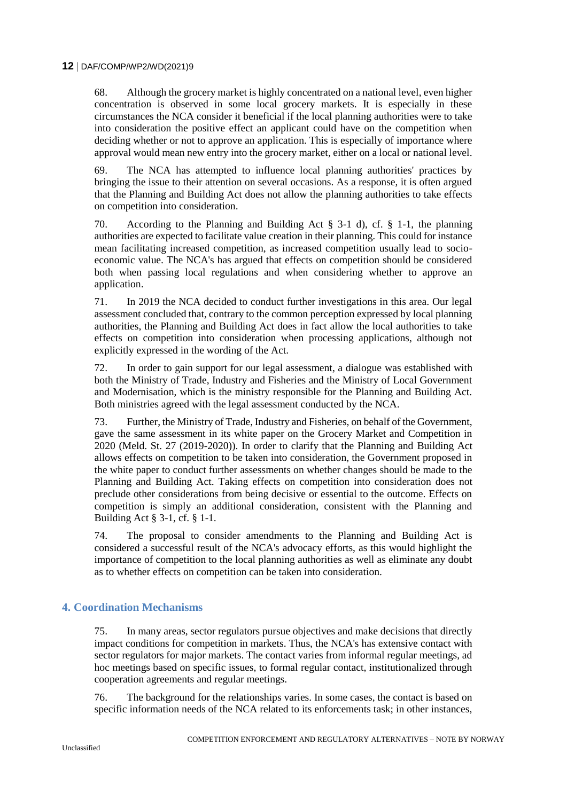68. Although the grocery market is highly concentrated on a national level, even higher concentration is observed in some local grocery markets. It is especially in these circumstances the NCA consider it beneficial if the local planning authorities were to take into consideration the positive effect an applicant could have on the competition when deciding whether or not to approve an application. This is especially of importance where approval would mean new entry into the grocery market, either on a local or national level.

69. The NCA has attempted to influence local planning authorities' practices by bringing the issue to their attention on several occasions. As a response, it is often argued that the Planning and Building Act does not allow the planning authorities to take effects on competition into consideration.

70. According to the Planning and Building Act § 3-1 d), cf. § 1-1, the planning authorities are expected to facilitate value creation in their planning. This could for instance mean facilitating increased competition, as increased competition usually lead to socioeconomic value. The NCA's has argued that effects on competition should be considered both when passing local regulations and when considering whether to approve an application.

71. In 2019 the NCA decided to conduct further investigations in this area. Our legal assessment concluded that, contrary to the common perception expressed by local planning authorities, the Planning and Building Act does in fact allow the local authorities to take effects on competition into consideration when processing applications, although not explicitly expressed in the wording of the Act.

72. In order to gain support for our legal assessment, a dialogue was established with both the Ministry of Trade, Industry and Fisheries and the Ministry of Local Government and Modernisation, which is the ministry responsible for the Planning and Building Act. Both ministries agreed with the legal assessment conducted by the NCA.

73. Further, the Ministry of Trade, Industry and Fisheries, on behalf of the Government, gave the same assessment in its white paper on the Grocery Market and Competition in 2020 (Meld. St. 27 (2019-2020)). In order to clarify that the Planning and Building Act allows effects on competition to be taken into consideration, the Government proposed in the white paper to conduct further assessments on whether changes should be made to the Planning and Building Act. Taking effects on competition into consideration does not preclude other considerations from being decisive or essential to the outcome. Effects on competition is simply an additional consideration, consistent with the Planning and Building Act § 3-1, cf. § 1-1.

74. The proposal to consider amendments to the Planning and Building Act is considered a successful result of the NCA's advocacy efforts, as this would highlight the importance of competition to the local planning authorities as well as eliminate any doubt as to whether effects on competition can be taken into consideration.

### **4. Coordination Mechanisms**

75. In many areas, sector regulators pursue objectives and make decisions that directly impact conditions for competition in markets. Thus, the NCA's has extensive contact with sector regulators for major markets. The contact varies from informal regular meetings, ad hoc meetings based on specific issues, to formal regular contact, institutionalized through cooperation agreements and regular meetings.

76. The background for the relationships varies. In some cases, the contact is based on specific information needs of the NCA related to its enforcements task; in other instances,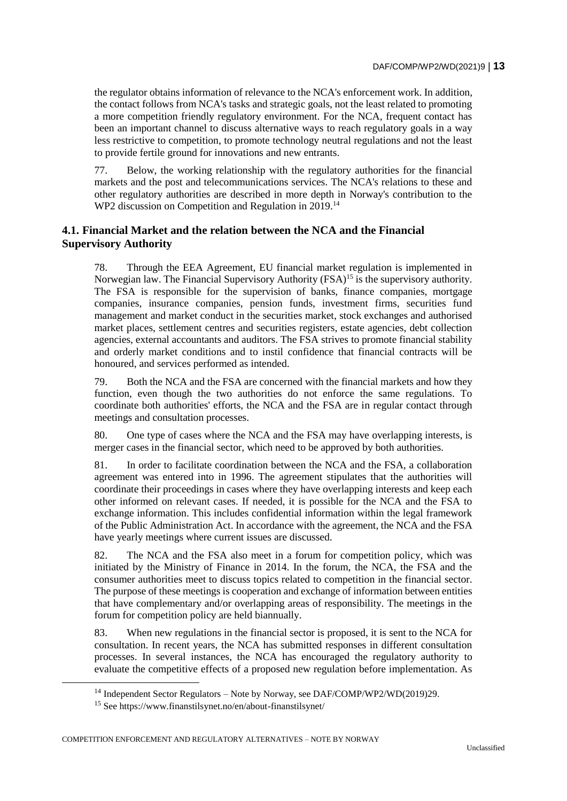the regulator obtains information of relevance to the NCA's enforcement work. In addition, the contact follows from NCA's tasks and strategic goals, not the least related to promoting a more competition friendly regulatory environment. For the NCA, frequent contact has been an important channel to discuss alternative ways to reach regulatory goals in a way less restrictive to competition, to promote technology neutral regulations and not the least to provide fertile ground for innovations and new entrants.

77. Below, the working relationship with the regulatory authorities for the financial markets and the post and telecommunications services. The NCA's relations to these and other regulatory authorities are described in more depth in Norway's contribution to the WP2 discussion on Competition and Regulation in 2019.<sup>14</sup>

# **4.1. Financial Market and the relation between the NCA and the Financial Supervisory Authority**

78. Through the EEA Agreement, EU financial market regulation is implemented in Norwegian law. The Financial Supervisory Authority (FSA)<sup>15</sup> is the supervisory authority. The FSA is responsible for the supervision of banks, finance companies, mortgage companies, insurance companies, pension funds, investment firms, securities fund management and market conduct in the securities market, stock exchanges and authorised market places, settlement centres and securities registers, estate agencies, debt collection agencies, external accountants and auditors. The FSA strives to promote financial stability and orderly market conditions and to instil confidence that financial contracts will be honoured, and services performed as intended.

79. Both the NCA and the FSA are concerned with the financial markets and how they function, even though the two authorities do not enforce the same regulations. To coordinate both authorities' efforts, the NCA and the FSA are in regular contact through meetings and consultation processes.

80. One type of cases where the NCA and the FSA may have overlapping interests, is merger cases in the financial sector, which need to be approved by both authorities.

81. In order to facilitate coordination between the NCA and the FSA, a collaboration agreement was entered into in 1996. The agreement stipulates that the authorities will coordinate their proceedings in cases where they have overlapping interests and keep each other informed on relevant cases. If needed, it is possible for the NCA and the FSA to exchange information. This includes confidential information within the legal framework of the Public Administration Act. In accordance with the agreement, the NCA and the FSA have yearly meetings where current issues are discussed.

82. The NCA and the FSA also meet in a forum for competition policy, which was initiated by the Ministry of Finance in 2014. In the forum, the NCA, the FSA and the consumer authorities meet to discuss topics related to competition in the financial sector. The purpose of these meetings is cooperation and exchange of information between entities that have complementary and/or overlapping areas of responsibility. The meetings in the forum for competition policy are held biannually.

83. When new regulations in the financial sector is proposed, it is sent to the NCA for consultation. In recent years, the NCA has submitted responses in different consultation processes. In several instances, the NCA has encouraged the regulatory authority to evaluate the competitive effects of a proposed new regulation before implementation. As

COMPETITION ENFORCEMENT AND REGULATORY ALTERNATIVES – NOTE BY NORWAY

<sup>&</sup>lt;sup>14</sup> Independent Sector Regulators – Note by Norway, see DAF/COMP/WP2/WD(2019)29.

<sup>15</sup> See https://www.finanstilsynet.no/en/about-finanstilsynet/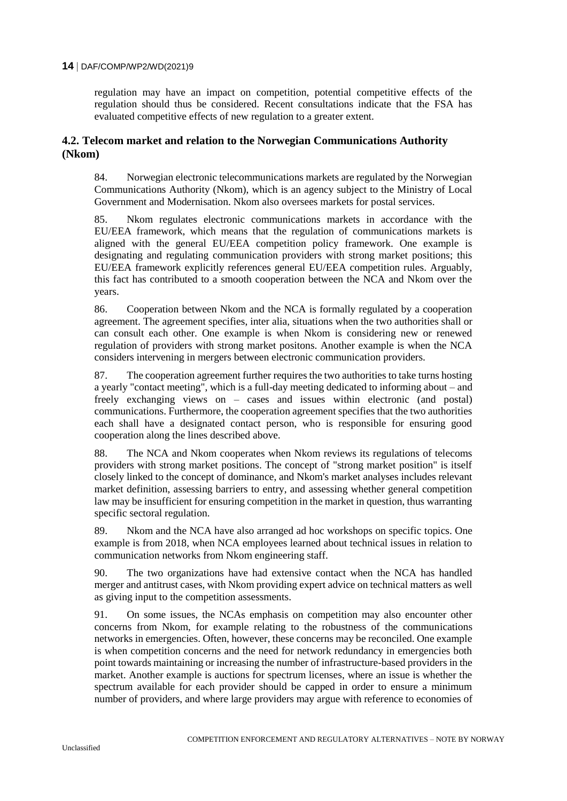regulation may have an impact on competition, potential competitive effects of the regulation should thus be considered. Recent consultations indicate that the FSA has evaluated competitive effects of new regulation to a greater extent.

#### **4.2. Telecom market and relation to the Norwegian Communications Authority (Nkom)**

84. Norwegian electronic telecommunications markets are regulated by the Norwegian Communications Authority (Nkom), which is an agency subject to the Ministry of Local Government and Modernisation. Nkom also oversees markets for postal services.

85. Nkom regulates electronic communications markets in accordance with the EU/EEA framework, which means that the regulation of communications markets is aligned with the general EU/EEA competition policy framework. One example is designating and regulating communication providers with strong market positions; this EU/EEA framework explicitly references general EU/EEA competition rules. Arguably, this fact has contributed to a smooth cooperation between the NCA and Nkom over the years.

86. Cooperation between Nkom and the NCA is formally regulated by a cooperation agreement. The agreement specifies, inter alia, situations when the two authorities shall or can consult each other. One example is when Nkom is considering new or renewed regulation of providers with strong market positons. Another example is when the NCA considers intervening in mergers between electronic communication providers.

87. The cooperation agreement further requires the two authorities to take turns hosting a yearly "contact meeting", which is a full-day meeting dedicated to informing about – and freely exchanging views on – cases and issues within electronic (and postal) communications. Furthermore, the cooperation agreement specifies that the two authorities each shall have a designated contact person, who is responsible for ensuring good cooperation along the lines described above.

88. The NCA and Nkom cooperates when Nkom reviews its regulations of telecoms providers with strong market positions. The concept of "strong market position" is itself closely linked to the concept of dominance, and Nkom's market analyses includes relevant market definition, assessing barriers to entry, and assessing whether general competition law may be insufficient for ensuring competition in the market in question, thus warranting specific sectoral regulation.

89. Nkom and the NCA have also arranged ad hoc workshops on specific topics. One example is from 2018, when NCA employees learned about technical issues in relation to communication networks from Nkom engineering staff.

90. The two organizations have had extensive contact when the NCA has handled merger and antitrust cases, with Nkom providing expert advice on technical matters as well as giving input to the competition assessments.

91. On some issues, the NCAs emphasis on competition may also encounter other concerns from Nkom, for example relating to the robustness of the communications networks in emergencies. Often, however, these concerns may be reconciled. One example is when competition concerns and the need for network redundancy in emergencies both point towards maintaining or increasing the number of infrastructure-based providers in the market. Another example is auctions for spectrum licenses, where an issue is whether the spectrum available for each provider should be capped in order to ensure a minimum number of providers, and where large providers may argue with reference to economies of